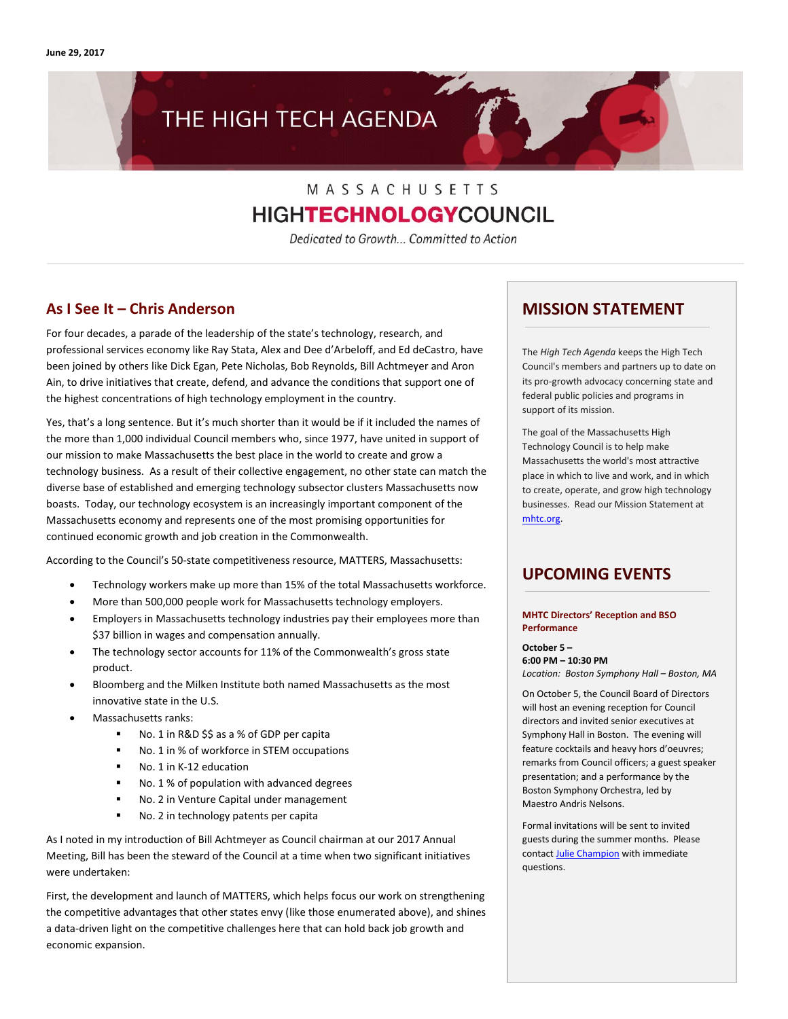# THE HIGH TECH AGENDA

# MASSACHUSETTS **HIGHTECHNOLOGYCOUNCIL**

Dedicated to Growth... Committed to Action

# **As I See It – Chris Anderson**

For four decades, a parade of the leadership of the state's technology, research, and professional services economy like Ray Stata, Alex and Dee d'Arbeloff, and Ed deCastro, have been joined by others like Dick Egan, Pete Nicholas, Bob Reynolds, Bill Achtmeyer and Aron Ain, to drive initiatives that create, defend, and advance the conditions that support one of the highest concentrations of high technology employment in the country.

Yes, that's a long sentence. But it's much shorter than it would be if it included the names of the more than 1,000 individual Council members who, since 1977, have united in support of our mission to make Massachusetts the best place in the world to create and grow a technology business. As a result of their collective engagement, no other state can match the diverse base of established and emerging technology subsector clusters Massachusetts now boasts. Today, our technology ecosystem is an increasingly important component of the Massachusetts economy and represents one of the most promising opportunities for continued economic growth and job creation in the Commonwealth.

According to the Council's 50-state competitiveness resource, MATTERS, Massachusetts:

- Technology workers make up more than 15% of the total Massachusetts workforce.
- More than 500,000 people work for Massachusetts technology employers.
- Employers in Massachusetts technology industries pay their employees more than \$37 billion in wages and compensation annually.
- The technology sector accounts for 11% of the Commonwealth's gross state product.
- Bloomberg and the Milken Institute both named Massachusetts as the most innovative state in the U.S.
- Massachusetts ranks:
	- No. 1 in R&D \$\$ as a % of GDP per capita
	- No. 1 in % of workforce in STEM occupations
	- No. 1 in K-12 education
	- No. 1 % of population with advanced degrees
	- No. 2 in Venture Capital under management
	- No. 2 in technology patents per capita

As I noted in my introduction of Bill Achtmeyer as Council chairman at our 2017 Annual Meeting, Bill has been the steward of the Council at a time when two significant initiatives were undertaken:

First, the development and launch of MATTERS, which helps focus our work on strengthening the competitive advantages that other states envy (like those enumerated above), and shines a data-driven light on the competitive challenges here that can hold back job growth and economic expansion.

### **MISSION STATEMENT**

The *High Tech Agenda* keeps the High Tech Council's members and partners up to date on its pro-growth advocacy concerning state and federal public policies and programs in support of its mission.

The goal of the Massachusetts High Technology Council is to help make Massachusetts the world's most attractive place in which to live and work, and in which to create, operate, and grow high technology businesses. Read our Mission Statement at [mhtc.org.](http://www.mhtc.org/) 

# **UPCOMING EVENTS**

#### **MHTC Directors' Reception and BSO Performance**

**October 5 – 6:00 PM – 10:30 PM** *Location: Boston Symphony Hall – Boston, MA*

On October 5, the Council Board of Directors will host an evening reception for Council directors and invited senior executives at Symphony Hall in Boston. The evening will feature cocktails and heavy hors d'oeuvres; remarks from Council officers; a guest speaker presentation; and a performance by the Boston Symphony Orchestra, led by Maestro Andris Nelsons.

Formal invitations will be sent to invited guests during the summer months. Please contac[t Julie Champion](mailto:julie@mhtc.org?subject=MHTC%20Directors%20Reception%20&%20Concert) with immediate questions.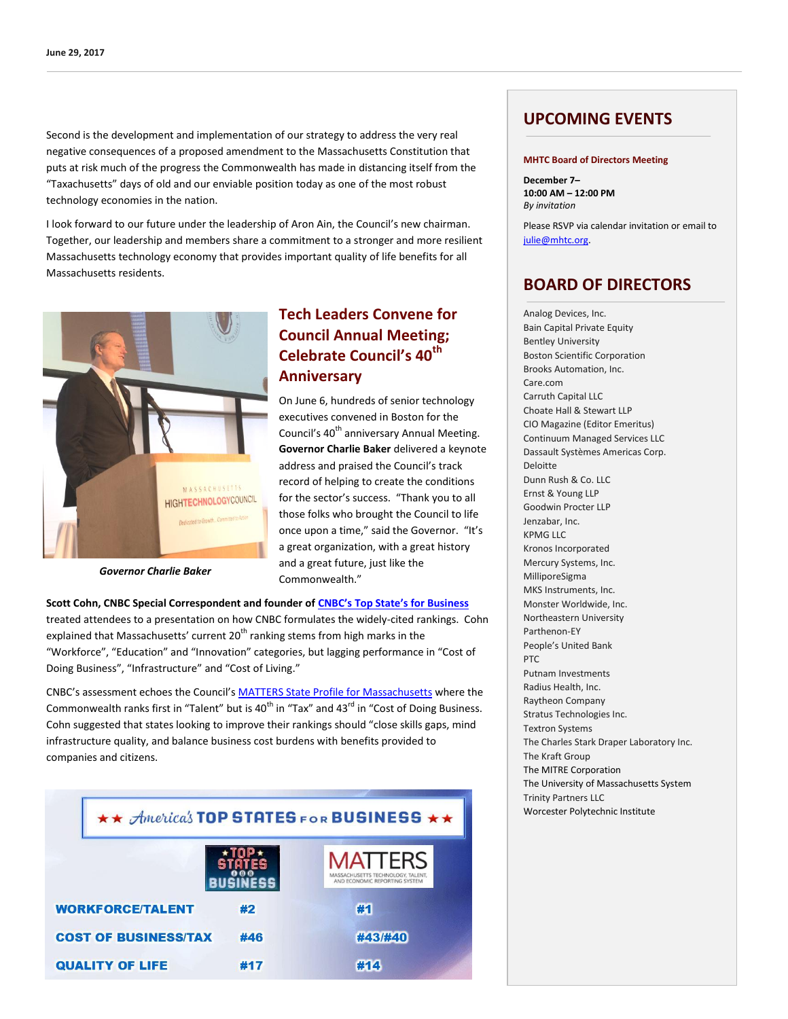Second is the development and implementation of our strategy to address the very real negative consequences of a proposed amendment to the Massachusetts Constitution that puts at risk much of the progress the Commonwealth has made in distancing itself from the "Taxachusetts" days of old and our enviable position today as one of the most robust technology economies in the nation.

I look forward to our future under the leadership of Aron Ain, the Council's new chairman. Together, our leadership and members share a commitment to a stronger and more resilient Massachusetts technology economy that provides important quality of life benefits for all Massachusetts residents.



*Governor Charlie Baker*

# **Tech Leaders Convene for Council Annual Meeting; Celebrate Council's 40th Anniversary**

On June 6, hundreds of senior technology executives convened in Boston for the Council's 40<sup>th</sup> anniversary Annual Meeting. **Governor Charlie Baker** delivered a keynote address and praised the Council's track record of helping to create the conditions for the sector's success. "Thank you to all those folks who brought the Council to life once upon a time," said the Governor. "It's a great organization, with a great history and a great future, just like the Commonwealth."

**Scott Cohn, CNBC Special Correspondent and founder of [CNBC's Top State's for Business](http://www.cnbc.com/americas-top-states-for-business/)** treated attendees to a presentation on how CNBC formulates the widely-cited rankings. Cohn explained that Massachusetts' current  $20<sup>th</sup>$  ranking stems from high marks in the "Workforce", "Education" and "Innovation" categories, but lagging performance in "Cost of Doing Business", "Infrastructure" and "Cost of Living."

CNBC's assessment echoes the Council's [MATTERS State Profile for Massachusetts](http://matters.mhtc.org/profile) where the Commonwealth ranks first in "Talent" but is 40<sup>th</sup> in "Tax" and 43<sup>rd</sup> in "Cost of Doing Business. Cohn suggested that states looking to improve their rankings should "close skills gaps, mind infrastructure quality, and balance business cost burdens with benefits provided to companies and citizens.

| ** America's TOP STATES FOR BUSINESS ** |     |                                                                                      |
|-----------------------------------------|-----|--------------------------------------------------------------------------------------|
|                                         |     | <b>MATTERS</b><br>MASSACHUSETTS TECHNOLOGY, TALENT,<br>AND ECONOMIC REPORTING SYSTEM |
| <b>WORKFORCE/TALENT</b>                 | #2  | #1                                                                                   |
| <b>COST OF BUSINESS/TAX</b>             | #46 | #43/#40                                                                              |
| <b>QUALITY OF LIFE</b>                  | #17 | #14                                                                                  |

# **UPCOMING EVENTS**

#### **MHTC Board of Directors Meeting**

**December 7– 10:00 AM – 12:00 PM** *By invitation*

Please RSVP via calendar invitation or email to [julie@mhtc.org.](mailto:julie@mhtc.org)

# **BOARD OF DIRECTORS**

Analog Devices, Inc. Bain Capital Private Equity Bentley University Boston Scientific Corporation Brooks Automation, Inc. Care.com Carruth Capital LLC Choate Hall & Stewart LLP CIO Magazine (Editor Emeritus) Continuum Managed Services LLC Dassault Systèmes Americas Corp. Deloitte Dunn Rush & Co. LLC Ernst & Young LLP Goodwin Procter LLP Jenzabar, Inc. KPMG LLC Kronos Incorporated Mercury Systems, Inc. MilliporeSigma MKS Instruments, Inc. Monster Worldwide, Inc. Northeastern University Parthenon-EY People's United Bank PTC Putnam Investments Radius Health, Inc. Raytheon Company Stratus Technologies Inc. Textron Systems The Charles Stark Draper Laboratory Inc. The Kraft Group The MITRE Corporation The University of Massachusetts System Trinity Partners LLC Worcester Polytechnic Institute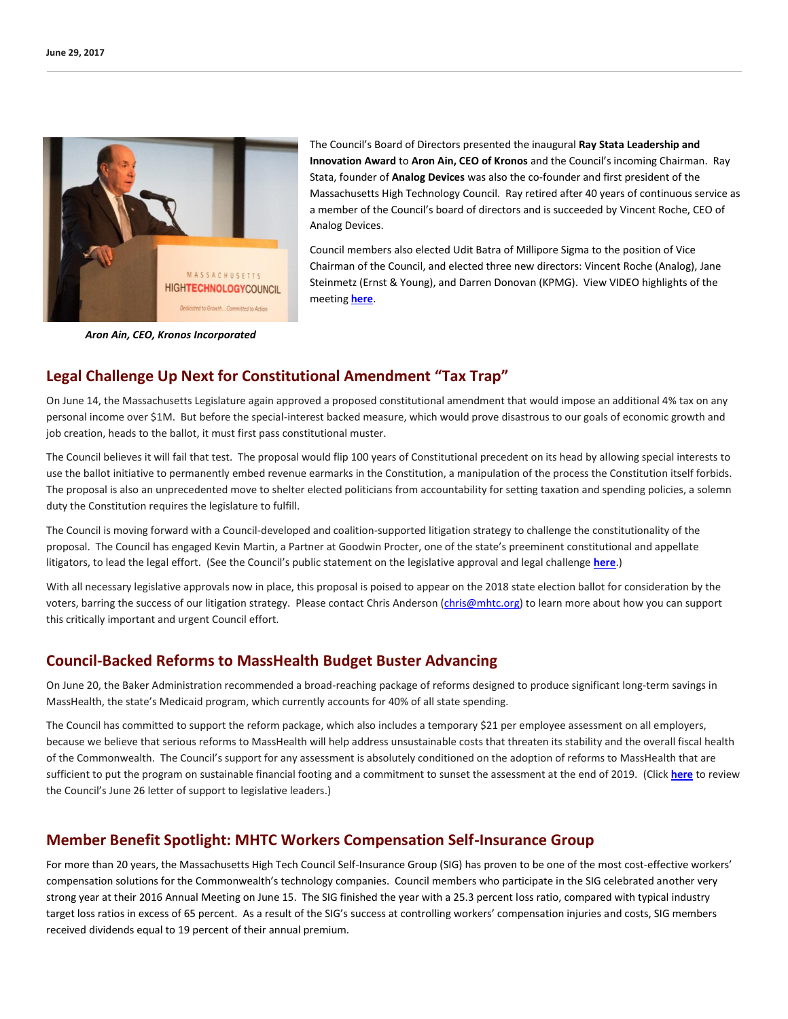

The Council's Board of Directors presented the inaugural **Ray Stata Leadership and Innovation Award** to **Aron Ain, CEO of Kronos** and the Council's incoming Chairman. Ray Stata, founder of **Analog Devices** was also the co-founder and first president of the Massachusetts High Technology Council. Ray retired after 40 years of continuous service as a member of the Council's board of directors and is succeeded by Vincent Roche, CEO of Analog Devices.

Council members also elected Udit Batra of Millipore Sigma to the position of Vice Chairman of the Council, and elected three new directors: Vincent Roche (Analog), Jane Steinmetz (Ernst & Young), and Darren Donovan (KPMG). View VIDEO highlights of the meeting **[here](https://vimeo.com/223335837)**.

*Aron Ain, CEO, Kronos Incorporated*

# **Legal Challenge Up Next for Constitutional Amendment "Tax Trap"**

On June 14, the Massachusetts Legislature again approved a proposed constitutional amendment that would impose an additional 4% tax on any personal income over \$1M. But before the special-interest backed measure, which would prove disastrous to our goals of economic growth and job creation, heads to the ballot, it must first pass constitutional muster.

The Council believes it will fail that test. The proposal would flip 100 years of Constitutional precedent on its head by allowing special interests to use the ballot initiative to permanently embed revenue earmarks in the Constitution, a manipulation of the process the Constitution itself forbids. The proposal is also an unprecedented move to shelter elected politicians from accountability for setting taxation and spending policies, a solemn duty the Constitution requires the legislature to fulfill.

The Council is moving forward with a Council-developed and coalition-supported litigation strategy to challenge the constitutionality of the proposal. The Council has engaged Kevin Martin, a Partner at Goodwin Procter, one of the state's preeminent constitutional and appellate litigators, to lead the legal effort. (See the Council's public statement on the legislative approval and legal challenge **[here](http://www.mhtc.org/wp-content/uploads/2017/06/MHTC-Statement-on-Constitutional-Amendment-Tax-6.14.17-FINAL.pdf)**.)

With all necessary legislative approvals now in place, this proposal is poised to appear on the 2018 state election ballot for consideration by the voters, barring the success of our litigation strategy. Please contact Chris Anderson [\(chris@mhtc.org\)](mailto:chris@mhtc.org) to learn more about how you can support this critically important and urgent Council effort.

# **Council-Backed Reforms to MassHealth Budget Buster Advancing**

On June 20, the Baker Administration recommended a broad-reaching package of reforms designed to produce significant long-term savings in MassHealth, the state's Medicaid program, which currently accounts for 40% of all state spending.

The Council has committed to support the reform package, which also includes a temporary \$21 per employee assessment on all employers, because we believe that serious reforms to MassHealth will help address unsustainable costs that threaten its stability and the overall fiscal health of the Commonwealth. The Council's support for any assessment is absolutely conditioned on the adoption of reforms to MassHealth that are sufficient to put the program on sustainable financial footing and a commitment to sunset the assessment at the end of 2019.(Click **[here](http://www.mhtc.org/wp-content/uploads/2017/06/Letter-to-Chairs-Spilka-and-Dempsey-re-MassHealth-Reforms-6.26.17.pdf)** to review the Council's June 26 letter of support to legislative leaders.)

# **Member Benefit Spotlight: MHTC Workers Compensation Self-Insurance Group**

For more than 20 years, the Massachusetts High Tech Council Self-Insurance Group (SIG) has proven to be one of the most cost-effective workers' compensation solutions for the Commonwealth's technology companies. Council members who participate in the SIG celebrated another very strong year at their 2016 Annual Meeting on June 15. The SIG finished the year with a 25.3 percent loss ratio, compared with typical industry target loss ratios in excess of 65 percent. As a result of the SIG's success at controlling workers' compensation injuries and costs, SIG members received dividends equal to 19 percent of their annual premium.